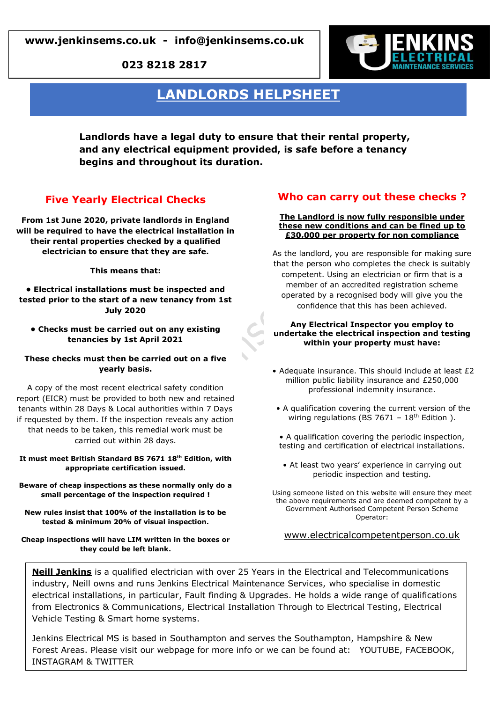**023 8218 2817**



# **LANDLORDS HELPSHEET**

**Landlords have a legal duty to ensure that their rental property, and any electrical equipment provided, is safe before a tenancy begins and throughout its duration.**

## **Five Yearly Electrical Checks**

**From 1st June 2020, private landlords in England will be required to have the electrical installation in their rental properties checked by a qualified electrician to ensure that they are safe.**

**This means that:**

**• Electrical installations must be inspected and tested prior to the start of a new tenancy from 1st July 2020**

**• Checks must be carried out on any existing tenancies by 1st April 2021**

#### **These checks must then be carried out on a five yearly basis.**

A copy of the most recent electrical safety condition report (EICR) must be provided to both new and retained tenants within 28 Days & Local authorities within 7 Days if requested by them. If the inspection reveals any action that needs to be taken, this remedial work must be carried out within 28 days.

**It must meet British Standard BS 7671 18th Edition, with appropriate certification issued.**

**Beware of cheap inspections as these normally only do a small percentage of the inspection required !**

**New rules insist that 100% of the installation is to be tested & minimum 20% of visual inspection.**

**Cheap inspections will have LIM written in the boxes or they could be left blank.**

## **Who can carry out these checks ?**

#### **The Landlord is now fully responsible under these new conditions and can be fined up to £30,000 per property for non compliance**

As the landlord, you are responsible for making sure that the person who completes the check is suitably competent. Using an electrician or firm that is a member of an accredited registration scheme operated by a recognised body will give you the confidence that this has been achieved.

#### **Any Electrical Inspector you employ to undertake the electrical inspection and testing within your property must have:**

- Adequate insurance. This should include at least £2 million public liability insurance and £250,000 professional indemnity insurance.
- A qualification covering the current version of the wiring regulations (BS 7671 -  $18<sup>th</sup>$  Edition ).
- A qualification covering the periodic inspection, testing and certification of electrical installations.
- At least two years' experience in carrying out periodic inspection and testing.

Using someone listed on this website will ensure they meet the above requirements and are deemed competent by a Government Authorised Competent Person Scheme Operator:

www.electricalcompetentperson.co.uk

**Neill Jenkins** is a qualified electrician with over 25 Years in the Electrical and Telecommunications industry, Neill owns and runs Jenkins Electrical Maintenance Services, who specialise in domestic electrical installations, in particular, Fault finding & Upgrades. He holds a wide range of qualifications from Electronics & Communications, Electrical Installation Through to Electrical Testing, Electrical Vehicle Testing & Smart home systems.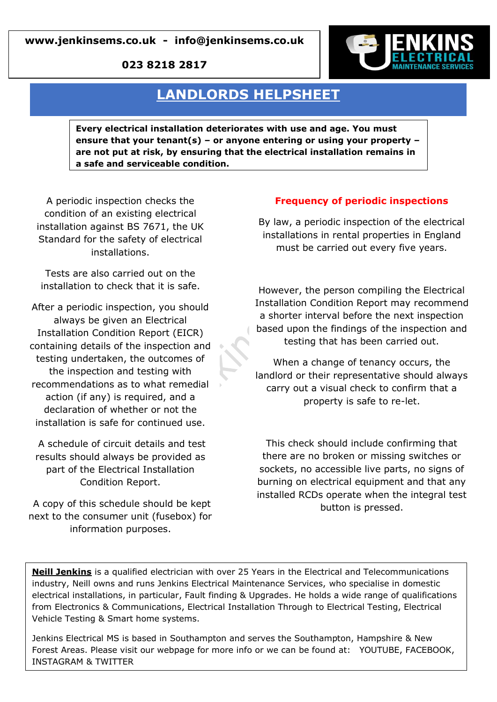## **www.jenkinsems.co.uk - info@jenkinsems.co.uk**

**023 8218 2817**



# **LANDLORDS HELPSHEET**

**Every electrical installation deteriorates with use and age. You must ensure that your tenant(s) – or anyone entering or using your property – are not put at risk, by ensuring that the electrical installation remains in a safe and serviceable condition.**

A periodic inspection checks the condition of an existing electrical installation against BS 7671, the UK Standard for the safety of electrical installations.

Tests are also carried out on the installation to check that it is safe.

After a periodic inspection, you should always be given an Electrical Installation Condition Report (EICR) containing details of the inspection and testing undertaken, the outcomes of the inspection and testing with recommendations as to what remedial action (if any) is required, and a declaration of whether or not the installation is safe for continued use.

A schedule of circuit details and test results should always be provided as part of the Electrical Installation Condition Report.

A copy of this schedule should be kept next to the consumer unit (fusebox) for information purposes.

## **Frequency of periodic inspections**

By law, a periodic inspection of the electrical installations in rental properties in England must be carried out every five years.

However, the person compiling the Electrical Installation Condition Report may recommend a shorter interval before the next inspection based upon the findings of the inspection and testing that has been carried out.

When a change of tenancy occurs, the landlord or their representative should always carry out a visual check to confirm that a property is safe to re-let.

This check should include confirming that there are no broken or missing switches or sockets, no accessible live parts, no signs of burning on electrical equipment and that any installed RCDs operate when the integral test button is pressed.

**Neill Jenkins** is a qualified electrician with over 25 Years in the Electrical and Telecommunications industry, Neill owns and runs Jenkins Electrical Maintenance Services, who specialise in domestic electrical installations, in particular, Fault finding & Upgrades. He holds a wide range of qualifications from Electronics & Communications, Electrical Installation Through to Electrical Testing, Electrical Vehicle Testing & Smart home systems.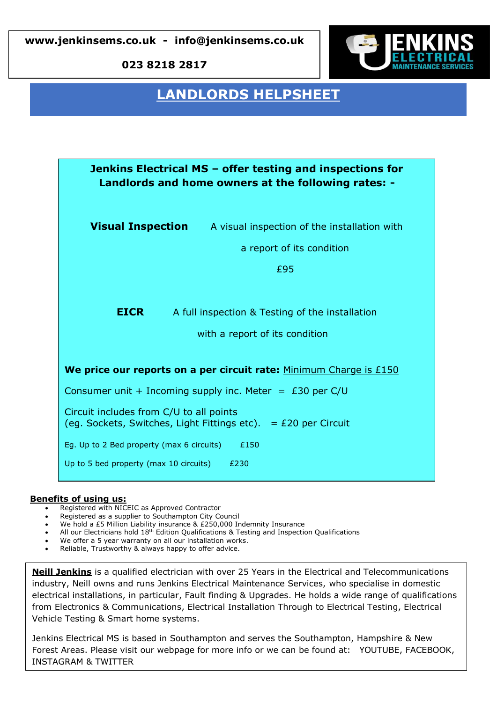**www.jenkinsems.co.uk - info@jenkinsems.co.uk** 

**023 8218 2817**



# **LANDLORDS HELPSHEET**

| Jenkins Electrical MS – offer testing and inspections for<br>Landlords and home owners at the following rates: - |                                                                       |
|------------------------------------------------------------------------------------------------------------------|-----------------------------------------------------------------------|
|                                                                                                                  | <b>Visual Inspection</b> A visual inspection of the installation with |
|                                                                                                                  | a report of its condition                                             |
|                                                                                                                  | £95                                                                   |
| <b>EICR</b>                                                                                                      | A full inspection & Testing of the installation                       |
|                                                                                                                  | with a report of its condition                                        |
| We price our reports on a per circuit rate: Minimum Charge is £150                                               |                                                                       |
| Consumer unit + Incoming supply inc. Meter = $£30$ per C/U                                                       |                                                                       |
| Circuit includes from C/U to all points<br>(eg. Sockets, Switches, Light Fittings etc). $=$ £20 per Circuit      |                                                                       |
| Eg. Up to 2 Bed property (max 6 circuits)<br>£150                                                                |                                                                       |
| Up to 5 bed property (max 10 circuits)<br>£230                                                                   |                                                                       |

### **Benefits of using us:**

- **example 15 per central Circuits 2016**<br>• Registered with NICEIC as Approved Contractor
- Registered as a supplier to Southampton City Council
- We hold a £5 Million Liability insurance & £250,000 Indemnity Insurance
- All our Electricians hold 18th Edition Qualifications & Testing and Inspection Qualifications
- We offer a 5 year warranty on all our installation works.
- Reliable, Trustworthy & always happy to offer advice.

**Neill Jenkins** is a qualified electrician with over 25 Years in the Electrical and Telecommunications industry, Neill owns and runs Jenkins Electrical Maintenance Services, who specialise in domestic electrical installations, in particular, Fault finding & Upgrades. He holds a wide range of qualifications from Electronics & Communications, Electrical Installation Through to Electrical Testing, Electrical Vehicle Testing & Smart home systems.